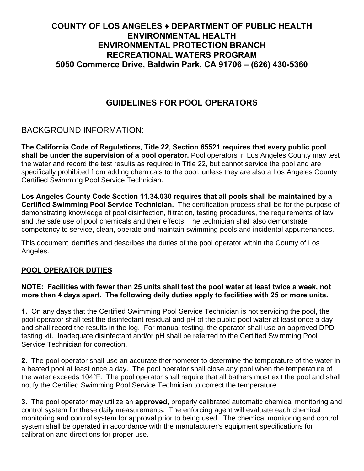## **COUNTY OF LOS ANGELES ♦ DEPARTMENT OF PUBLIC HEALTH ENVIRONMENTAL HEALTH ENVIRONMENTAL PROTECTION BRANCH RECREATIONAL WATERS PROGRAM 5050 Commerce Drive, Baldwin Park, CA 91706 – (626) 430-5360**

# **GUIDELINES FOR POOL OPERATORS**

# BACKGROUND INFORMATION:

**The California Code of Regulations, Title 22, Section 65521 requires that every public pool shall be under the supervision of a pool operator.** Pool operators in Los Angeles County may test the water and record the test results as required in Title 22, but cannot service the pool and are specifically prohibited from adding chemicals to the pool, unless they are also a Los Angeles County Certified Swimming Pool Service Technician.

**Los Angeles County Code Section 11.34.030 requires that all pools shall be maintained by a Certified Swimming Pool Service Technician.** The certification process shall be for the purpose of demonstrating knowledge of pool disinfection, filtration, testing procedures, the requirements of law and the safe use of pool chemicals and their effects. The technician shall also demonstrate competency to service, clean, operate and maintain swimming pools and incidental appurtenances.

This document identifies and describes the duties of the pool operator within the County of Los Angeles.

## **POOL OPERATOR DUTIES**

## **NOTE: Facilities with fewer than 25 units shall test the pool water at least twice a week, not more than 4 days apart. The following daily duties apply to facilities with 25 or more units.**

**1.** On any days that the Certified Swimming Pool Service Technician is not servicing the pool, the pool operator shall test the disinfectant residual and pH of the public pool water at least once a day and shall record the results in the log. For manual testing, the operator shall use an approved DPD testing kit. Inadequate disinfectant and/or pH shall be referred to the Certified Swimming Pool Service Technician for correction.

**2.** The pool operator shall use an accurate thermometer to determine the temperature of the water in a heated pool at least once a day. The pool operator shall close any pool when the temperature of the water exceeds 104°F. The pool operator shall require that all bathers must exit the pool and shall notify the Certified Swimming Pool Service Technician to correct the temperature.

**3.** The pool operator may utilize an **approved**, properly calibrated automatic chemical monitoring and control system for these daily measurements. The enforcing agent will evaluate each chemical monitoring and control system for approval prior to being used. The chemical monitoring and control system shall be operated in accordance with the manufacturer's equipment specifications for calibration and directions for proper use.